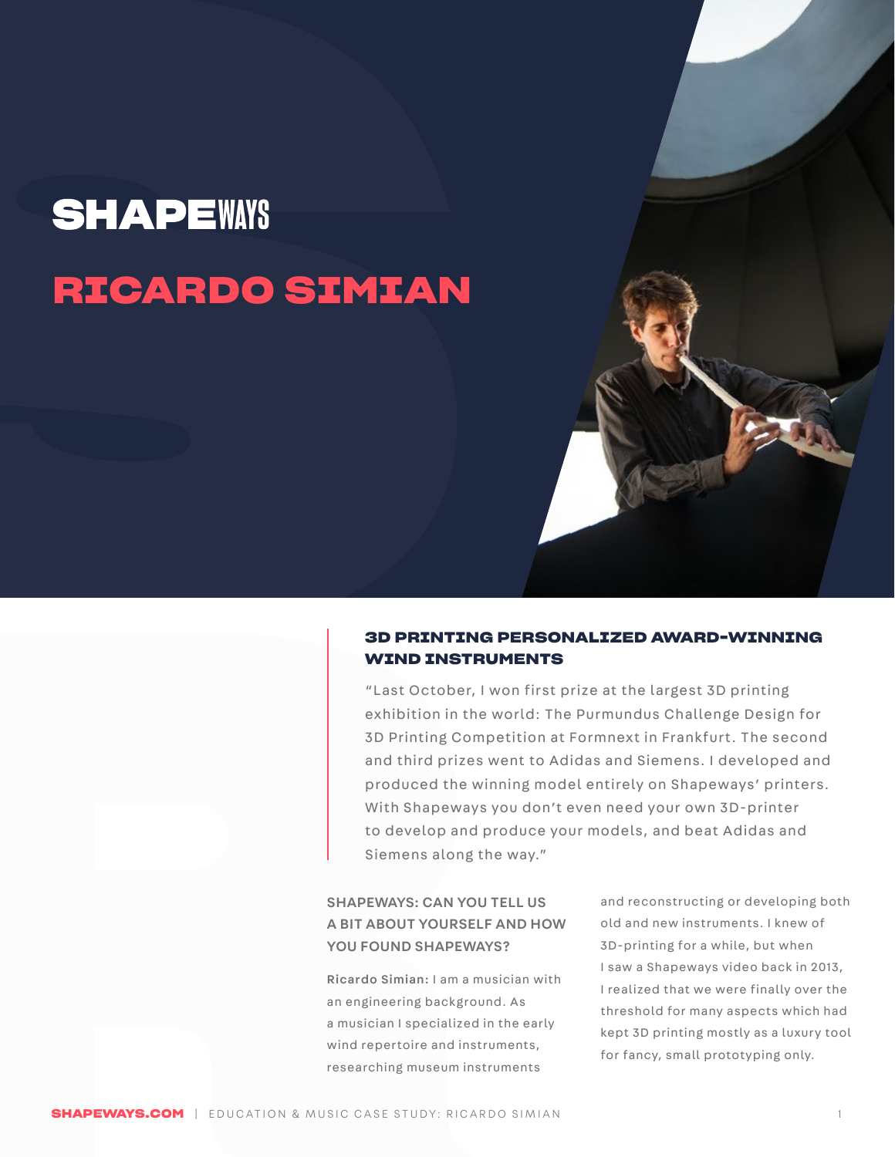# **RICARDO SIMIAN**

#### **3D PRINTING PERSONALIZED AWARD-WINNING WIND INSTRUMENTS**

**RAFRICATE THE SHAPE CONDITION CONDITION CONDITION CONDITION CONDITION CONDITION CONDITION CONDITION CONDITION CONDITION CONDITION CONDITION CONDITION CONDITION CONDITION CONDITION CONDITION CONDITION CONDITION CONDITION C SHAPEWAYS**<br> **RICARDO SIMIAN**<br> **ODERNITE WIND INSTRUMENTAL SUBSERVAPILITY**<br> **ODERNITE WIND INSTRUMENTAL SUBSERVAPILITY**<br> **ODERNITE (LAST OCCUDE)**<br> **SUBSERVAPILITY CONCORDING AND INSTRUMENTAL**<br> **ODERNITE (PICTURE)**<br> **ODERNI** "Last October, I won first prize at the largest 3D printing exhibition in the world: The Purmundus Challenge Design for 3D Printing Competition at Formnext in Frankfurt. The second and third prizes went to Adidas and Siemens. I developed and produced the winning model entirely on Shapeways' printers. With Shapeways you don't even need your own 3D-printer to develop and produce your models, and beat Adidas and Siemens along the way."

#### SHAPEWAYS: CAN YOU TELL US A BIT ABOUT YOURSELF AND HOW YOU FOUND SHAPFWAYS?

Ricardo Simian: I am a musician with an engineering background. As a musician I specialized in the early wind repertoire and instruments, researching museum instruments

and reconstructing or developing both old and new instruments. I knew of 3D-printing for a while, but when I saw a Shapeways video back in 2013, I realized that we were finally over the threshold for many aspects which had kept 3D printing mostly as a luxury tool for fancy, small prototyping only.